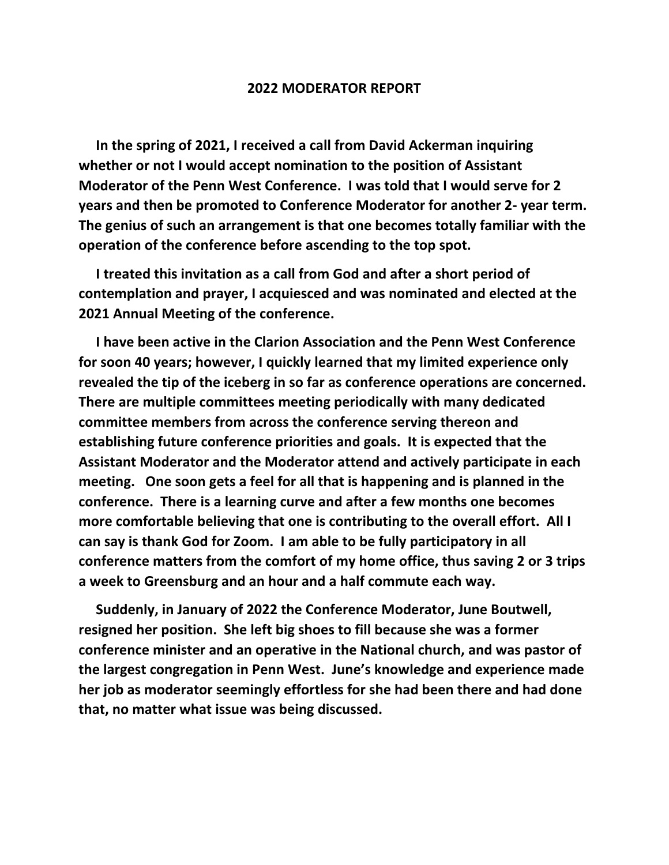## **2022 MODERATOR REPORT**

 **In the spring of 2021, I received a call from David Ackerman inquiring whether or not I would accept nomination to the position of Assistant Moderator of the Penn West Conference. I was told that I would serve for 2 years and then be promoted to Conference Moderator for another 2- year term. The genius of such an arrangement is that one becomes totally familiar with the operation of the conference before ascending to the top spot.**

 **I treated this invitation as a call from God and after a short period of contemplation and prayer, I acquiesced and was nominated and elected at the 2021 Annual Meeting of the conference.**

 **I have been active in the Clarion Association and the Penn West Conference for soon 40 years; however, I quickly learned that my limited experience only revealed the tip of the iceberg in so far as conference operations are concerned. There are multiple committees meeting periodically with many dedicated committee members from across the conference serving thereon and establishing future conference priorities and goals. It is expected that the Assistant Moderator and the Moderator attend and actively participate in each meeting. One soon gets a feel for all that is happening and is planned in the conference. There is a learning curve and after a few months one becomes more comfortable believing that one is contributing to the overall effort. All I can say is thank God for Zoom. I am able to be fully participatory in all conference matters from the comfort of my home office, thus saving 2 or 3 trips a week to Greensburg and an hour and a half commute each way.**

 **Suddenly, in January of 2022 the Conference Moderator, June Boutwell, resigned her position. She left big shoes to fill because she was a former conference minister and an operative in the National church, and was pastor of the largest congregation in Penn West. June's knowledge and experience made her job as moderator seemingly effortless for she had been there and had done that, no matter what issue was being discussed.**